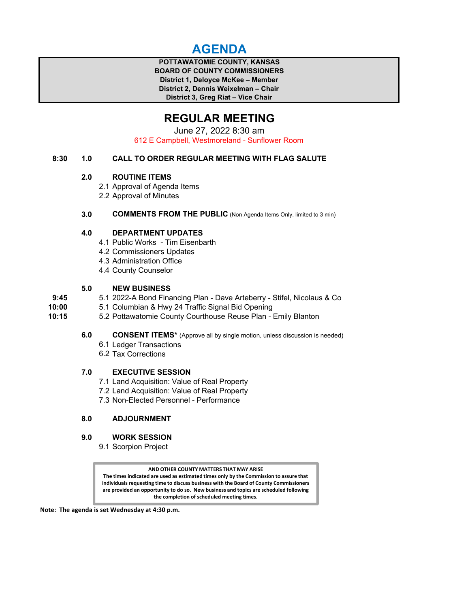# **AGENDA**

**POTTAWATOMIE COUNTY, KANSAS BOARD OF COUNTY COMMISSIONERS District 1, Deloyce McKee – Member District 2, Dennis Weixelman – Chair District 3, Greg Riat – Vice Chair**

# **REGULAR MEETING**

June 27, 2022 8:30 am 612 E Campbell, Westmoreland - Sunflower Room

## **8:30 1.0 CALL TO ORDER REGULAR MEETING WITH FLAG SALUTE**

## **2.0 ROUTINE ITEMS**

- 2.1 Approval of Agenda Items
- 2.2 Approval of Minutes

## **3.0 COMMENTS FROM THE PUBLIC** (Non Agenda Items Only, limited to 3 min)

## **4.0 DEPARTMENT UPDATES**

- 4.1 Public Works Tim Eisenbarth
- 4.2 Commissioners Updates
- 4.3 Administration Office
- 4.4 County Counselor

## **5.0 NEW BUSINESS**

- **9:45** 5.1 2022-A Bond Financing Plan Dave Arteberry Stifel, Nicolaus & Co
- **10:00** 5.1 Columbian & Hwy 24 Traffic Signal Bid Opening
- **10:15** 5.2 Pottawatomie County Courthouse Reuse Plan Emily Blanton

**6.0 CONSENT ITEMS\*** (Approve all by single motion, unless discussion is needed)

- 6.1 Ledger Transactions
- 6.2 Tax Corrections

## **7.0 EXECUTIVE SESSION**

- 7.1 Land Acquisition: Value of Real Property
- 7.2 Land Acquisition: Value of Real Property
- 7.3 Non-Elected Personnel Performance

## **8.0 ADJOURNMENT**

### **9.0 WORK SESSION**

9.1 Scorpion Project

**AND OTHER COUNTY MATTERS THAT MAY ARISE The times indicated are used as estimated times only by the Commission to assure that individuals requesting time to discuss business with the Board of County Commissioners are provided an opportunity to do so. New business and topics are scheduled following the completion of scheduled meeting times.**

**Note: The agenda is set Wednesday at 4:30 p.m.**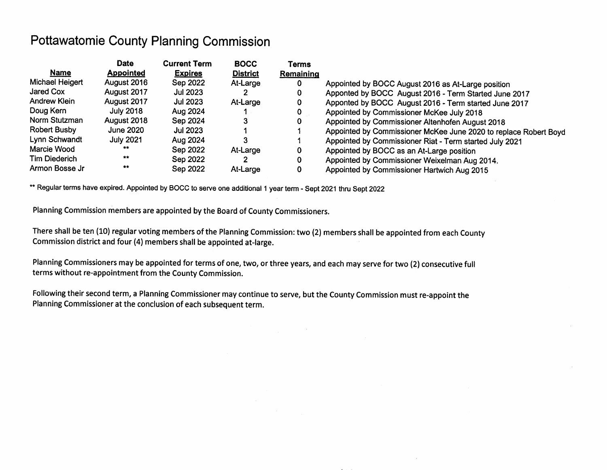# **Pottawatomie County Planning Commission**

|                      | <b>Date</b>      | <b>Current Term</b> | <b>BOCC</b>     | Terms     |                                                                  |
|----------------------|------------------|---------------------|-----------------|-----------|------------------------------------------------------------------|
| <b>Name</b>          | <b>Appointed</b> | <b>Expires</b>      | <b>District</b> | Remaining |                                                                  |
| Michael Heigert      | August 2016      | Sep 2022            | At-Large        | 0         | Appointed by BOCC August 2016 as At-Large position               |
| <b>Jared Cox</b>     | August 2017      | Jul 2023            |                 | 0         | Apponted by BOCC August 2016 - Term Started June 2017            |
| Andrew Klein         | August 2017      | <b>Jul 2023</b>     | At-Large        | 0         | Apponted by BOCC August 2016 - Term started June 2017            |
| Doug Kern            | July 2018        | Aug 2024            |                 | 0         | Appointed by Commissioner McKee July 2018                        |
| Norm Stutzman        | August 2018      | Sep 2024            |                 | 0         | Appointed by Commissioner Altenhofen August 2018                 |
| <b>Robert Busby</b>  | <b>June 2020</b> | <b>Jul 2023</b>     |                 |           | Appointed by Commissioner McKee June 2020 to replace Robert Boyd |
| Lynn Schwandt        | <b>July 2021</b> | Aug 2024            |                 |           | Appointed by Commissioner Riat - Term started July 2021          |
| Marcie Wood          | **               | Sep 2022            | At-Large        | 0         | Appointed by BOCC as an At-Large position                        |
| <b>Tim Diederich</b> | $***$            | Sep 2022            |                 | 0         | Appointed by Commissioner Weixelman Aug 2014.                    |
| Armon Bosse Jr       | $\pi\pi$         | Sep 2022            | At-Large        |           | Appointed by Commissioner Hartwich Aug 2015                      |

\*\* Regular terms have expired. Appointed by BOCC to serve one additional 1 year term - Sept 2021 thru Sept 2022

Planning Commission members are appointed by the Board of County Commissioners.

There shall be ten (10) regular voting members of the Planning Commission: two (2) members shall be appointed from each County Commission district and four (4) members shall be appointed at-large.

Planning Commissioners may be appointed for terms of one, two, or three years, and each may serve for two (2) consecutive full terms without re-appointment from the County Commission.

Following their second term, a Planning Commissioner may continue to serve, but the County Commission must re-appoint the Planning Commissioner at the conclusion of each subsequent term.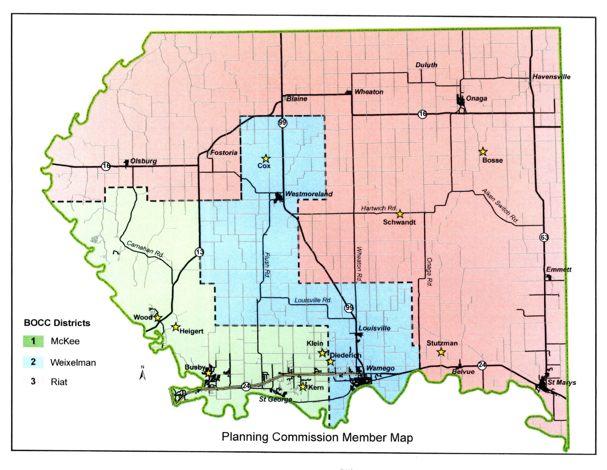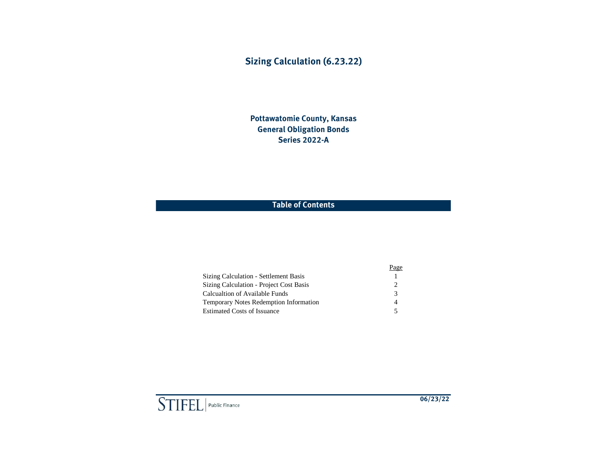# **Sizing Calculation (6.23.22)**

**Pottawatomie County, Kansas General Obligation Bonds Series 2022-A**

## **Table of Contents**

|                                               | Page                        |
|-----------------------------------------------|-----------------------------|
| Sizing Calculation - Settlement Basis         |                             |
| Sizing Calculation - Project Cost Basis       | $\mathcal{D}_{\mathcal{L}}$ |
| Calcualtion of Available Funds                | 3                           |
| <b>Temporary Notes Redemption Information</b> | 4                           |
| <b>Estimated Costs of Issuance</b>            | 5                           |

 $\boxed{\text{STIEL}}$  Public Finance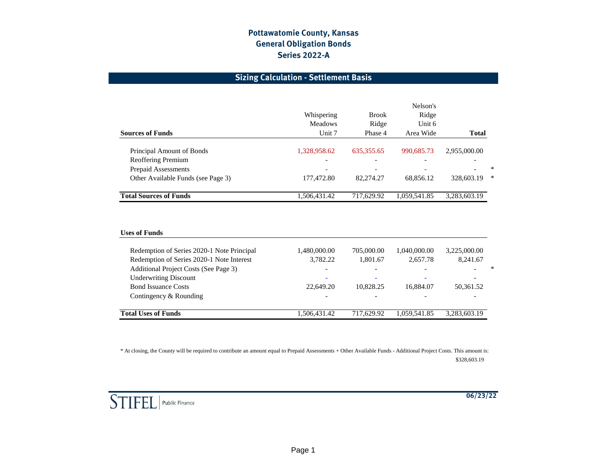## **Sizing Calculation - Settlement Basis**

| <b>Sources of Funds</b>                         | Whispering<br><b>Meadows</b><br>Unit 7 | <b>Brook</b><br>Ridge<br>Phase 4 | Nelson's<br>Ridge<br>Unit 6<br>Area Wide | <b>Total</b> |        |
|-------------------------------------------------|----------------------------------------|----------------------------------|------------------------------------------|--------------|--------|
|                                                 | 1,328,958.62                           | 635, 355. 65                     | 990.685.73                               | 2,955,000.00 |        |
| Principal Amount of Bonds<br>Reoffering Premium | $\overline{\phantom{a}}$               | $\overline{\phantom{0}}$         |                                          |              |        |
| Prepaid Assessments                             | $\overline{\phantom{a}}$               | $\overline{\phantom{a}}$         | $\overline{\phantom{0}}$                 |              | $\ast$ |
| Other Available Funds (see Page 3)              | 177,472.80                             | 82,274.27                        | 68.856.12                                | 328,603.19   | ∗      |
| <b>Total Sources of Funds</b>                   | 1,506,431.42                           | 717,629.92                       | 1,059,541.85                             | 3,283,603.19 |        |

### **Uses of Funds**

| 22,649.20                | 10.828.25    | 16.884.07<br>50.361.52 |                          |
|--------------------------|--------------|------------------------|--------------------------|
|                          |              |                        |                          |
|                          |              |                        |                          |
|                          |              |                        |                          |
| $\overline{\phantom{a}}$ |              |                        | $\ast$                   |
| 3.782.22                 |              | 8.241.67               |                          |
|                          |              | 3,225,000.00           |                          |
|                          | 1,480,000.00 | 705,000.00<br>1.801.67 | 1.040.000.00<br>2.657.78 |

\* At closing, the County will be required to contribute an amount equal to Prepaid Assessments + Other Available Funds - Additional Project Costs. This amount is: \$328,603.19

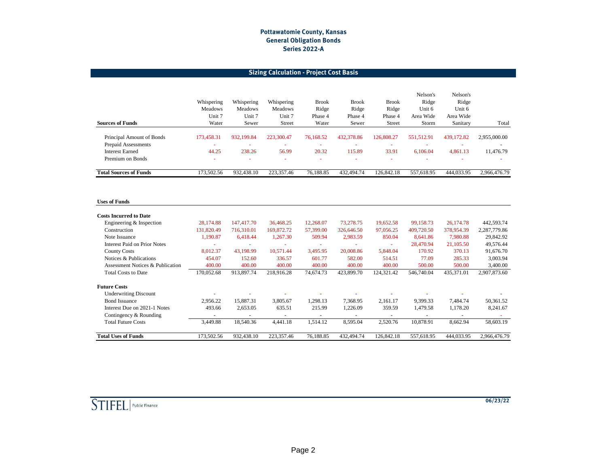## **Sizing Calculation - Project Cost Basis**

| <b>Sources of Funds</b>       | Whispering<br>Meadows<br>Unit 7<br>Water | Whispering<br>Meadows<br>Unit 7<br>Sewer | Whispering<br><b>Meadows</b><br>Unit 7<br>Street | <b>Brook</b><br>Ridge<br>Phase 4<br>Water | <b>Brook</b><br>Ridge<br>Phase 4<br>Sewer | <b>Brook</b><br>Ridge<br>Phase 4<br><b>Street</b> | Nelson's<br>Ridge<br>Unit 6<br>Area Wide<br>Storm | Nelson's<br>Ridge<br>Unit 6<br>Area Wide<br>Sanitary | Total                    |
|-------------------------------|------------------------------------------|------------------------------------------|--------------------------------------------------|-------------------------------------------|-------------------------------------------|---------------------------------------------------|---------------------------------------------------|------------------------------------------------------|--------------------------|
| Principal Amount of Bonds     | 173,458.31                               | 932.199.84                               | 223,300.47                                       | 76.168.52                                 | 432,378.86                                | 126,808.27                                        | 551.512.91                                        | 439,172.82                                           | 2,955,000.00             |
| Prepaid Assessments           |                                          |                                          |                                                  | $\overline{\phantom{a}}$                  |                                           |                                                   |                                                   |                                                      | $\overline{\phantom{0}}$ |
| <b>Interest Earned</b>        | 44.25                                    | 238.26                                   | 56.99                                            | 20.32                                     | 115.89                                    | 33.91                                             | 6.106.04                                          | 4,861.13                                             | 11,476.79                |
| Premium on Bonds              | -                                        | ۰                                        | ۰                                                | $\overline{\phantom{a}}$                  | ٠                                         |                                                   | -                                                 |                                                      |                          |
| <b>Total Sources of Funds</b> | 173,502.56                               | 932,438.10                               | 223,357.46                                       | 76,188.85                                 | 432,494.74                                | 126,842.18                                        | 557.618.95                                        | 444,033.95                                           | 2.966.476.79             |

### **Uses of Funds**

| <b>Costs Incurred to Date</b>       |                          |            |                          |                          |            |                          |                          |            |              |
|-------------------------------------|--------------------------|------------|--------------------------|--------------------------|------------|--------------------------|--------------------------|------------|--------------|
| Engineering & Inspection            | 28,174.88                | 147,417.70 | 36,468.25                | 12,268.07                | 73,278.75  | 19,652.58                | 99,158.73                | 26,174.78  | 442,593.74   |
| Construction                        | 131.820.49               | 716.310.01 | 169,872.72               | 57,399.00                | 326,646.50 | 97,056.25                | 409,720.50               | 378,954.39 | 2,287,779.86 |
| Note Issuance                       | 1,190.87                 | 6,418.44   | 1,267.30                 | 509.94                   | 2,983.59   | 850.04                   | 8,641.86                 | 7,980.88   | 29,842.92    |
| <b>Interest Paid on Prior Notes</b> | $\overline{\phantom{a}}$ | -          |                          | ٠                        |            | ٠                        | 28,470.94                | 21,105.50  | 49,576.44    |
| <b>County Costs</b>                 | 8,012.37                 | 43,198.99  | 10,571.44                | 3,495.95                 | 20,008.86  | 5,848.04                 | 170.92                   | 370.13     | 91,676.70    |
| Notices & Publications              | 454.07                   | 152.60     | 336.57                   | 601.77                   | 582.00     | 514.51                   | 77.09                    | 285.33     | 3,003.94     |
| Assessment Notices & Publication    | 400.00                   | 400.00     | 400.00                   | 400.00                   | 400.00     | 400.00                   | 500.00                   | 500.00     | 3,400.00     |
| <b>Total Costs to Date</b>          | 170,052.68               | 913,897.74 | 218,916.28               | 74,674.73                | 423,899.70 | 124,321.42               | 546,740.04               | 435,371.01 | 2,907,873.60 |
| <b>Future Costs</b>                 |                          |            |                          |                          |            |                          |                          |            |              |
| <b>Underwriting Discount</b>        |                          |            |                          |                          |            |                          |                          |            |              |
| <b>Bond Issuance</b>                | 2,956.22                 | 15,887.31  | 3,805.67                 | 1,298.13                 | 7,368.95   | 2,161.17                 | 9,399.33                 | 7,484.74   | 50,361.52    |
| Interest Due on 2021-1 Notes        | 493.66                   | 2,653.05   | 635.51                   | 215.99                   | 1,226.09   | 359.59                   | 1,479.58                 | 1,178.20   | 8,241.67     |
| Contingency & Rounding              | $\overline{\phantom{0}}$ |            | $\overline{\phantom{a}}$ | $\overline{\phantom{0}}$ |            | $\overline{\phantom{a}}$ | $\overline{\phantom{a}}$ |            |              |
| <b>Total Future Costs</b>           | 3,449.88                 | 18,540.36  | 4,441.18                 | 1,514.12                 | 8,595.04   | 2,520.76                 | 10,878.91                | 8,662.94   | 58,603.19    |
| <b>Total Uses of Funds</b>          | 173,502.56               | 932,438.10 | 223,357.46               | 76,188.85                | 432,494.74 | 126,842.18               | 557,618.95               | 444,033.95 | 2,966,476.79 |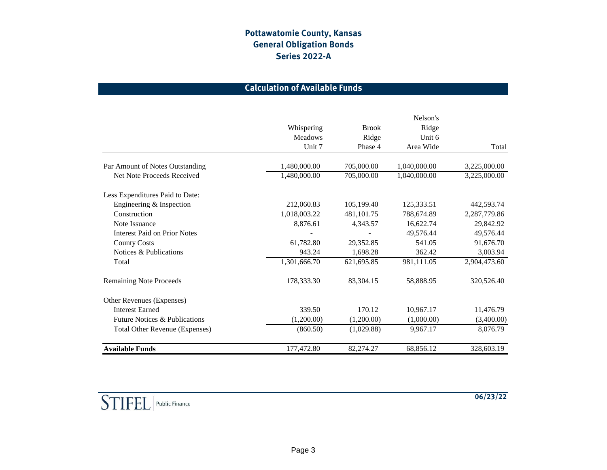# **Calculation of Available Funds**

|                                          | Whispering<br><b>Meadows</b><br>Unit 7 | <b>Brook</b><br>Ridge<br>Phase 4 | Nelson's<br>Ridge<br>Unit 6<br>Area Wide | Total        |
|------------------------------------------|----------------------------------------|----------------------------------|------------------------------------------|--------------|
| Par Amount of Notes Outstanding          | 1,480,000.00                           | 705,000.00                       | 1,040,000.00                             | 3,225,000.00 |
| Net Note Proceeds Received               | 1,480,000.00                           | 705,000.00                       | 1,040,000.00                             | 3,225,000.00 |
| Less Expenditures Paid to Date:          |                                        |                                  |                                          |              |
| Engineering & Inspection                 | 212,060.83                             | 105,199.40                       | 125,333.51                               | 442,593.74   |
| Construction                             | 1,018,003.22                           | 481,101.75                       | 788,674.89                               | 2,287,779.86 |
| Note Issuance                            | 8,876.61                               | 4,343.57                         | 16,622.74                                | 29,842.92    |
| <b>Interest Paid on Prior Notes</b>      |                                        |                                  | 49,576.44                                | 49,576.44    |
| <b>County Costs</b>                      | 61,782.80                              | 29,352.85                        | 541.05                                   | 91,676.70    |
| Notices & Publications                   | 943.24                                 | 1,698.28                         | 362.42                                   | 3,003.94     |
| Total                                    | 1,301,666.70                           | 621,695.85                       | 981,111.05                               | 2,904,473.60 |
| <b>Remaining Note Proceeds</b>           | 178,333.30                             | 83,304.15                        | 58,888.95                                | 320,526.40   |
| Other Revenues (Expenses)                |                                        |                                  |                                          |              |
| <b>Interest Earned</b>                   | 339.50                                 | 170.12                           | 10,967.17                                | 11,476.79    |
| <b>Future Notices &amp; Publications</b> | (1,200.00)                             | (1,200.00)                       | (1,000.00)                               | (3,400.00)   |
| <b>Total Other Revenue (Expenses)</b>    | (860.50)                               | (1,029.88)                       | 9,967.17                                 | 8,076.79     |
| <b>Available Funds</b>                   | 177,472.80                             | 82,274.27                        | 68,856.12                                | 328,603.19   |

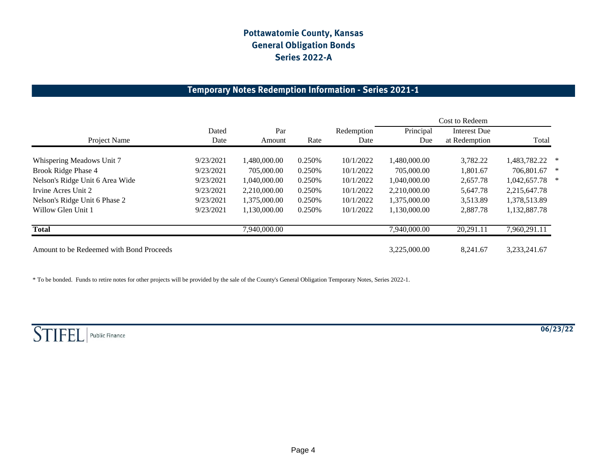# **Temporary Notes Redemption Information - Series 2021-1**

|                                          |               |               |         |                    |                  | Cost to Redeem                       |              |   |
|------------------------------------------|---------------|---------------|---------|--------------------|------------------|--------------------------------------|--------------|---|
| Project Name                             | Dated<br>Date | Par<br>Amount | Rate    | Redemption<br>Date | Principal<br>Due | <b>Interest Due</b><br>at Redemption | Total        |   |
| Whispering Meadows Unit 7                | 9/23/2021     | 1.480.000.00  | 0.250\% | 10/1/2022          | 1.480.000.00     | 3,782.22                             | 1,483,782.22 | ∗ |
| Brook Ridge Phase 4                      | 9/23/2021     | 705,000.00    | 0.250\% | 10/1/2022          | 705,000.00       | 1,801.67                             | 706,801.67   | ∗ |
| Nelson's Ridge Unit 6 Area Wide          | 9/23/2021     | 1.040.000.00  | 0.250\% | 10/1/2022          | 1.040.000.00     | 2,657.78                             | 1,042,657.78 | ∗ |
| Irvine Acres Unit 2                      | 9/23/2021     | 2,210,000.00  | 0.250\% | 10/1/2022          | 2,210,000.00     | 5,647.78                             | 2,215,647.78 |   |
| Nelson's Ridge Unit 6 Phase 2            | 9/23/2021     | 1.375.000.00  | 0.250\% | 10/1/2022          | 1,375,000.00     | 3,513.89                             | 1,378,513.89 |   |
| Willow Glen Unit 1                       | 9/23/2021     | 1,130,000.00  | 0.250\% | 10/1/2022          | 1.130.000.00     | 2,887.78                             | 1,132,887.78 |   |
| <b>Total</b>                             |               | 7,940,000.00  |         |                    | 7,940,000.00     | 20,291.11                            | 7,960,291.11 |   |
| Amount to be Redeemed with Bond Proceeds |               |               |         |                    | 3.225,000.00     | 8.241.67                             | 3,233,241.67 |   |

\* To be bonded. Funds to retire notes for other projects will be provided by the sale of the County's General Obligation Temporary Notes, Series 2022-1.